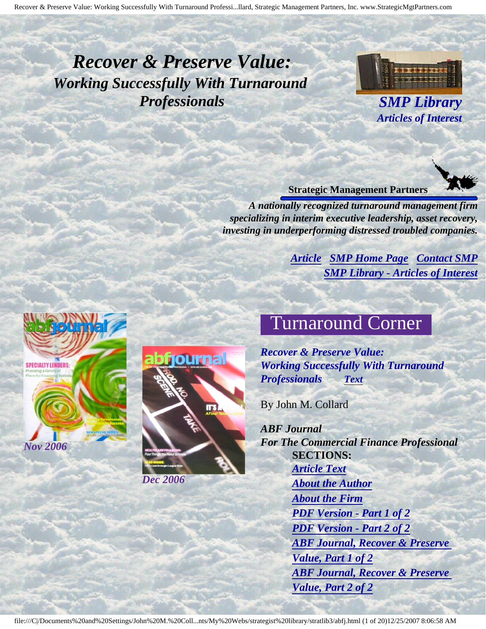## <span id="page-0-3"></span><span id="page-0-2"></span>*Recover & Preserve Value: Working Successfully With Turnaround Professionals SMP Library*



*Articles of Interest*

#### **Strategic Management Partners**

*A nationally recognized turnaround management firm specializing in interim executive leadership, asset recovery, investing in underperforming distressed troubled companies.*

> *[Article](#page-0-0) [SMP Home Page](http://members.aol.com/strategist/home.html#TOP) [Contact SMP](#page-19-0) [SMP Library - Articles of Interest](http://members.aol.com/stratlib3/libindx.html#TOP)*

# Turnaround Corner

*Recover & Preserve Value: Working Successfully With Turnaround Professionals [Text](#page-1-0)*

By John M. Collard

*ABF Journal For The Commercial Finance Professional* **SECTIONS:** *[Article Text](#page-1-0) [About the Author](#page-18-0) [About the Firm](#page-18-1) [PDF Version - Part 1 of 2](http://members.aol.com/stratlib3/abfj1.pdf) [PDF Version - Part 2 of 2](http://members.aol.com/stratlib3/abfj2.pdf) [ABF Journal, Recover & Preserve](http://members.aol.com/stratlib3/abfj1.html)  [Value, Part 1 of 2](http://members.aol.com/stratlib3/abfj1.html) [ABF Journal, Recover & Preserve](http://members.aol.com/stratlib3/abfj2.html)  [Value, Part 2 of 2](http://members.aol.com/stratlib3/abfj2.html)*

<span id="page-0-1"></span><span id="page-0-0"></span>



#### file:///C|/Documents%20and%20Settings/John%20M.%20Coll...nts/My%20Webs/strategist%20library/stratlib3/abfj.html (1 of 20)12/25/2007 8:06:58 AM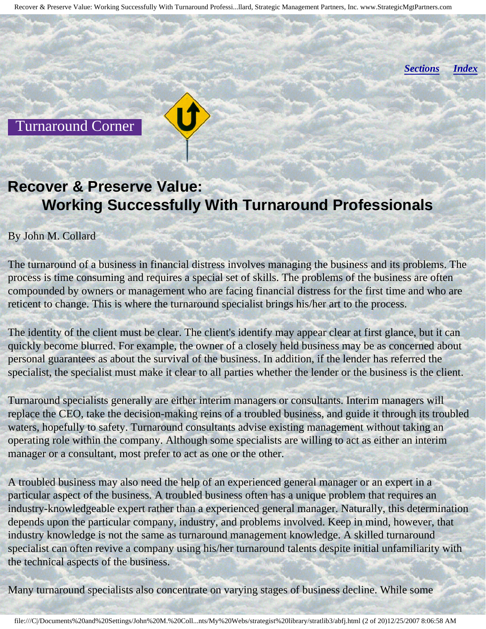*[Sections](#page-0-1) [Index](#page-0-2)*

<span id="page-1-0"></span>Turnaround Corner

### **Recover & Preserve Value: Working Successfully With Turnaround Professionals**

#### By John M. Collard

The turnaround of a business in financial distress involves managing the business and its problems. The process is time consuming and requires a special set of skills. The problems of the business are often compounded by owners or management who are facing financial distress for the first time and who are reticent to change. This is where the turnaround specialist brings his/her art to the process.

The identity of the client must be clear. The client's identify may appear clear at first glance, but it can quickly become blurred. For example, the owner of a closely held business may be as concerned about personal guarantees as about the survival of the business. In addition, if the lender has referred the specialist, the specialist must make it clear to all parties whether the lender or the business is the client.

Turnaround specialists generally are either interim managers or consultants. Interim managers will replace the CEO, take the decision-making reins of a troubled business, and guide it through its troubled waters, hopefully to safety. Turnaround consultants advise existing management without taking an operating role within the company. Although some specialists are willing to act as either an interim manager or a consultant, most prefer to act as one or the other.

A troubled business may also need the help of an experienced general manager or an expert in a particular aspect of the business. A troubled business often has a unique problem that requires an industry-knowledgeable expert rather than a experienced general manager. Naturally, this determination depends upon the particular company, industry, and problems involved. Keep in mind, however, that industry knowledge is not the same as turnaround management knowledge. A skilled turnaround specialist can often revive a company using his/her turnaround talents despite initial unfamiliarity with the technical aspects of the business.

Many turnaround specialists also concentrate on varying stages of business decline. While some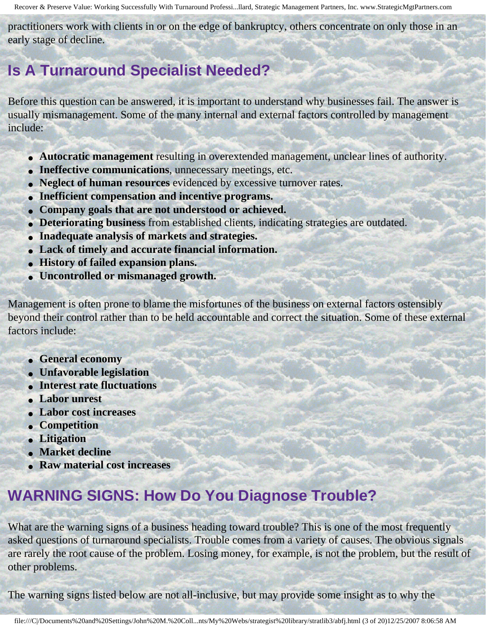practitioners work with clients in or on the edge of bankruptcy, others concentrate on only those in an early stage of decline.

### **Is A Turnaround Specialist Needed?**

Before this question can be answered, it is important to understand why businesses fail. The answer is usually mismanagement. Some of the many internal and external factors controlled by management include:

- **Autocratic management** resulting in overextended management, unclear lines of authority.
- **Ineffective communications**, unnecessary meetings, etc.
- **Neglect of human resources** evidenced by excessive turnover rates.
- **Inefficient compensation and incentive programs.**
- **Company goals that are not understood or achieved.**
- **Deteriorating business** from established clients, indicating strategies are outdated.
- **Inadequate analysis of markets and strategies.**
- **Lack of timely and accurate financial information.**
- **History of failed expansion plans.**
- **Uncontrolled or mismanaged growth.**

Management is often prone to blame the misfortunes of the business on external factors ostensibly beyond their control rather than to be held accountable and correct the situation. Some of these external factors include:

- **General economy**
- **Unfavorable legislation**
- **Interest rate fluctuations**
- **Labor unrest**
- **Labor cost increases**
- **Competition**
- **Litigation**
- **Market decline**
- **Raw material cost increases**

### **WARNING SIGNS: How Do You Diagnose Trouble?**

What are the warning signs of a business heading toward trouble? This is one of the most frequently asked questions of turnaround specialists. Trouble comes from a variety of causes. The obvious signals are rarely the root cause of the problem. Losing money, for example, is not the problem, but the result of other problems.

The warning signs listed below are not all-inclusive, but may provide some insight as to why the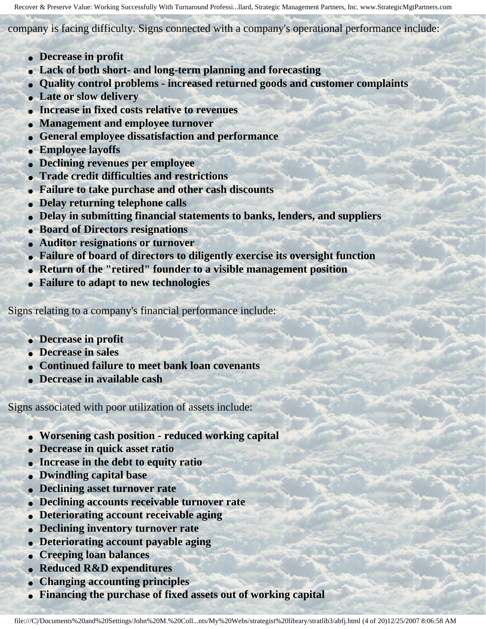company is facing difficulty. Signs connected with a company's operational performance include:

- **Decrease in profit**
- **Lack of both short- and long-term planning and forecasting**
- **Quality control problems increased returned goods and customer complaints**
- **Late or slow delivery**
- **Increase in fixed costs relative to revenues**
- **Management and employee turnover**
- **General employee dissatisfaction and performance**
- **Employee layoffs**
- **Declining revenues per employee**
- **Trade credit difficulties and restrictions**
- **Failure to take purchase and other cash discounts**
- **Delay returning telephone calls**
- **Delay in submitting financial statements to banks, lenders, and suppliers**
- **Board of Directors resignations**
- **Auditor resignations or turnover**
- **Failure of board of directors to diligently exercise its oversight function**
- **Return of the "retired" founder to a visible management position**
- **Failure to adapt to new technologies**

Signs relating to a company's financial performance include:

- **Decrease in profit**
- **Decrease in sales**
- **Continued failure to meet bank loan covenants**
- **Decrease in available cash**

Signs associated with poor utilization of assets include:

- **Worsening cash position reduced working capital**
- **Decrease in quick asset ratio**
- **Increase in the debt to equity ratio**
- **Dwindling capital base**
- **Declining asset turnover rate**
- **Declining accounts receivable turnover rate**
- **Deteriorating account receivable aging**
- **Declining inventory turnover rate**
- **Deteriorating account payable aging**
- **Creeping loan balances**
- **Reduced R&D expenditures**
- **Changing accounting principles**
- **Financing the purchase of fixed assets out of working capital**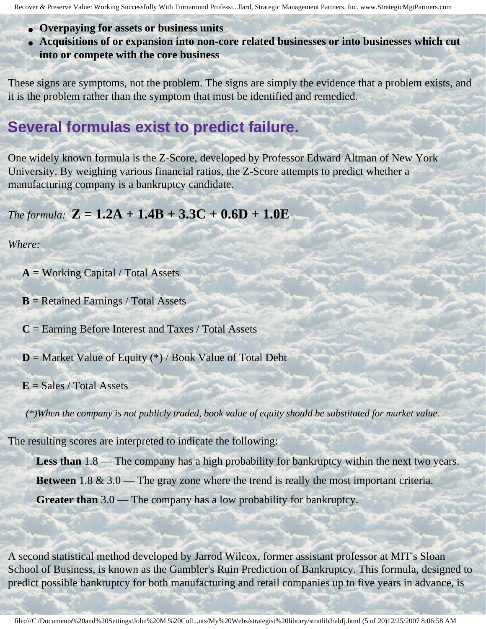- **Overpaying for assets or business units**
- **Acquisitions of or expansion into non-core related businesses or into businesses which cut into or compete with the core business**

These signs are symptoms, not the problem. The signs are simply the evidence that a problem exists, and it is the problem rather than the symptom that must be identified and remedied.

### **Several formulas exist to predict failure.**

One widely known formula is the Z-Score, developed by Professor Edward Altman of New York University. By weighing various financial ratios, the Z-Score attempts to predict whether a manufacturing company is a bankruptcy candidate.

#### *The formula:*  $Z = 1.2A + 1.4B + 3.3C + 0.6D + 1.0E$

#### *Where:*

 $A = Working Capital / Total Assets$ 

**B** = Retained Earnings / Total Assets

**C** = Earning Before Interest and Taxes / Total Assets

**D** = Market Value of Equity (\*) / Book Value of Total Debt

 $E = Sales / Total Assets$ 

*(\*)When the company is not publicly traded, book value of equity should be substituted for market value.* 

The resulting scores are interpreted to indicate the following:

Less than  $1.8$ — The company has a high probability for bankruptcy within the next two years.

**Between** 1.8 & 3.0 — The gray zone where the trend is really the most important criteria.

**Greater than** 3.0 — The company has a low probability for bankruptcy.

A second statistical method developed by Jarrod Wilcox, former assistant professor at MIT's Sloan School of Business, is known as the Gambler's Ruin Prediction of Bankruptcy. This formula, designed to predict possible bankruptcy for both manufacturing and retail companies up to five years in advance, is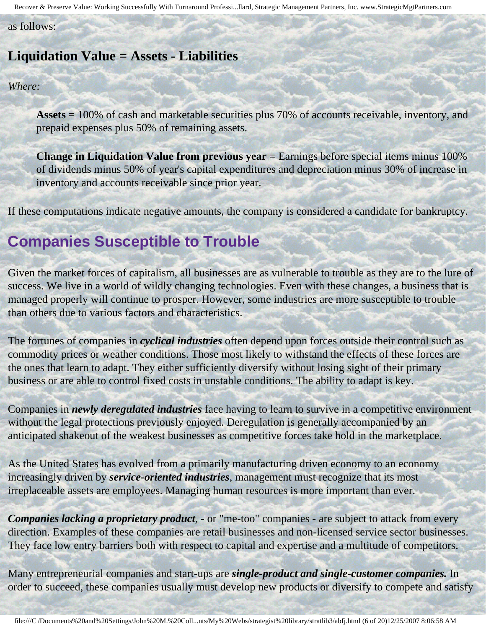as follows:

#### **Liquidation Value = Assets - Liabilities**

*Where:* 

**Assets** = 100% of cash and marketable securities plus 70% of accounts receivable, inventory, and prepaid expenses plus 50% of remaining assets.

**Change in Liquidation Value from previous year** = Earnings before special items minus 100% of dividends minus 50% of year's capital expenditures and depreciation minus 30% of increase in inventory and accounts receivable since prior year.

If these computations indicate negative amounts, the company is considered a candidate for bankruptcy.

### **Companies Susceptible to Trouble**

Given the market forces of capitalism, all businesses are as vulnerable to trouble as they are to the lure of success. We live in a world of wildly changing technologies. Even with these changes, a business that is managed properly will continue to prosper. However, some industries are more susceptible to trouble than others due to various factors and characteristics.

The fortunes of companies in *cyclical industries* often depend upon forces outside their control such as commodity prices or weather conditions. Those most likely to withstand the effects of these forces are the ones that learn to adapt. They either sufficiently diversify without losing sight of their primary business or are able to control fixed costs in unstable conditions. The ability to adapt is key.

Companies in *newly deregulated industries* face having to learn to survive in a competitive environment without the legal protections previously enjoyed. Deregulation is generally accompanied by an anticipated shakeout of the weakest businesses as competitive forces take hold in the marketplace.

As the United States has evolved from a primarily manufacturing driven economy to an economy increasingly driven by *service-oriented industries*, management must recognize that its most irreplaceable assets are employees. Managing human resources is more important than ever.

*Companies lacking a proprietary product*, - or "me-too" companies - are subject to attack from every direction. Examples of these companies are retail businesses and non-licensed service sector businesses. They face low entry barriers both with respect to capital and expertise and a multitude of competitors.

Many entrepreneurial companies and start-ups are *single-product and single-customer companies.* In order to succeed, these companies usually must develop new products or diversify to compete and satisfy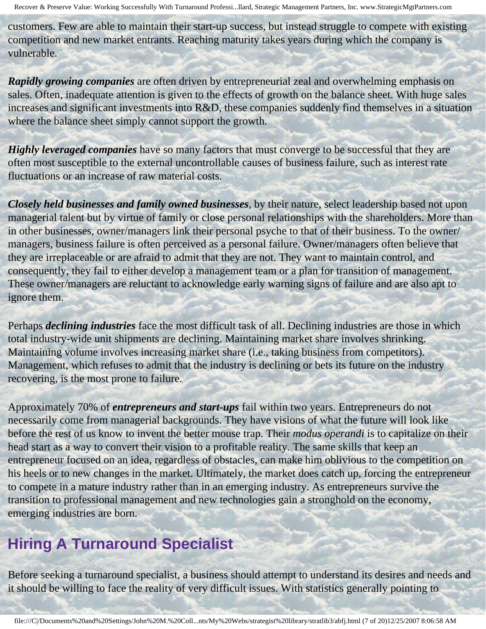customers. Few are able to maintain their start-up success, but instead struggle to compete with existing competition and new market entrants. Reaching maturity takes years during which the company is vulnerable.

*Rapidly growing companies* are often driven by entrepreneurial zeal and overwhelming emphasis on sales. Often, inadequate attention is given to the effects of growth on the balance sheet. With huge sales increases and significant investments into R&D, these companies suddenly find themselves in a situation where the balance sheet simply cannot support the growth.

*Highly leveraged companies* have so many factors that must converge to be successful that they are often most susceptible to the external uncontrollable causes of business failure, such as interest rate fluctuations or an increase of raw material costs.

*Closely held businesses and family owned businesses*, by their nature, select leadership based not upon managerial talent but by virtue of family or close personal relationships with the shareholders. More than in other businesses, owner/managers link their personal psyche to that of their business. To the owner/ managers, business failure is often perceived as a personal failure. Owner/managers often believe that they are irreplaceable or are afraid to admit that they are not. They want to maintain control, and consequently, they fail to either develop a management team or a plan for transition of management. These owner/managers are reluctant to acknowledge early warning signs of failure and are also apt to ignore them.

Perhaps *declining industries* face the most difficult task of all. Declining industries are those in which total industry-wide unit shipments are declining. Maintaining market share involves shrinking. Maintaining volume involves increasing market share (i.e., taking business from competitors). Management, which refuses to admit that the industry is declining or bets its future on the industry recovering, is the most prone to failure.

Approximately 70% of *entrepreneurs and start-ups* fail within two years. Entrepreneurs do not necessarily come from managerial backgrounds. They have visions of what the future will look like before the rest of us know to invent the better mouse trap. Their *modus operandi* is to capitalize on their head start as a way to convert their vision to a profitable reality. The same skills that keep an entrepreneur focused on an idea, regardless of obstacles, can make him oblivious to the competition on his heels or to new changes in the market. Ultimately, the market does catch up, forcing the entrepreneur to compete in a mature industry rather than in an emerging industry. As entrepreneurs survive the transition to professional management and new technologies gain a stronghold on the economy, emerging industries are born.

### **Hiring A Turnaround Specialist**

Before seeking a turnaround specialist, a business should attempt to understand its desires and needs and it should be willing to face the reality of very difficult issues. With statistics generally pointing to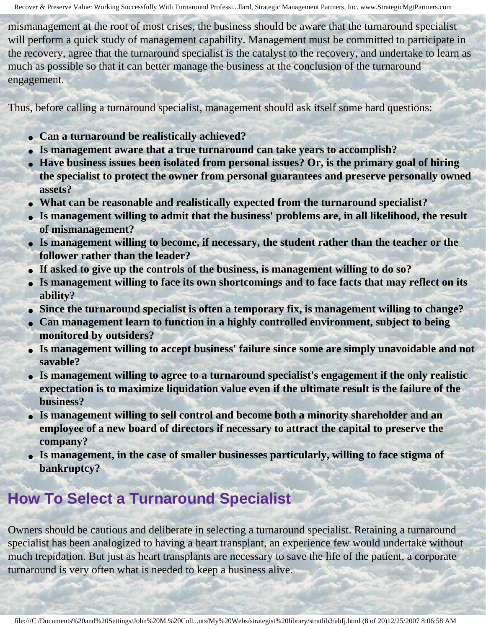mismanagement at the root of most crises, the business should be aware that the turnaround specialist will perform a quick study of management capability. Management must be committed to participate in the recovery, agree that the turnaround specialist is the catalyst to the recovery, and undertake to learn as much as possible so that it can better manage the business at the conclusion of the turnaround engagement.

Thus, before calling a turnaround specialist, management should ask itself some hard questions:

- **Can a turnaround be realistically achieved?**
- Is management aware that a true turnaround can take years to accomplish?
- Have business issues been isolated from personal issues? Or, is the primary goal of hiring **the specialist to protect the owner from personal guarantees and preserve personally owned assets?**
- **What can be reasonable and realistically expected from the turnaround specialist?**
- **Is management willing to admit that the business' problems are, in all likelihood, the result of mismanagement?**
- **Is management willing to become, if necessary, the student rather than the teacher or the follower rather than the leader?**
- **If asked to give up the controls of the business, is management willing to do so?**
- **Is management willing to face its own shortcomings and to face facts that may reflect on its ability?**
- **Since the turnaround specialist is often a temporary fix, is management willing to change?**
- **Can management learn to function in a highly controlled environment, subject to being monitored by outsiders?**
- Is management willing to accept business' failure since some are simply unavoidable and not **savable?**
- **Is management willing to agree to a turnaround specialist's engagement if the only realistic expectation is to maximize liquidation value even if the ultimate result is the failure of the business?**
- **Is management willing to sell control and become both a minority shareholder and an employee of a new board of directors if necessary to attract the capital to preserve the company?**
- **Is management, in the case of smaller businesses particularly, willing to face stigma of bankruptcy?**

### **How To Select a Turnaround Specialist**

Owners should be cautious and deliberate in selecting a turnaround specialist. Retaining a turnaround specialist has been analogized to having a heart transplant, an experience few would undertake without much trepidation. But just as heart transplants are necessary to save the life of the patient, a corporate turnaround is very often what is needed to keep a business alive.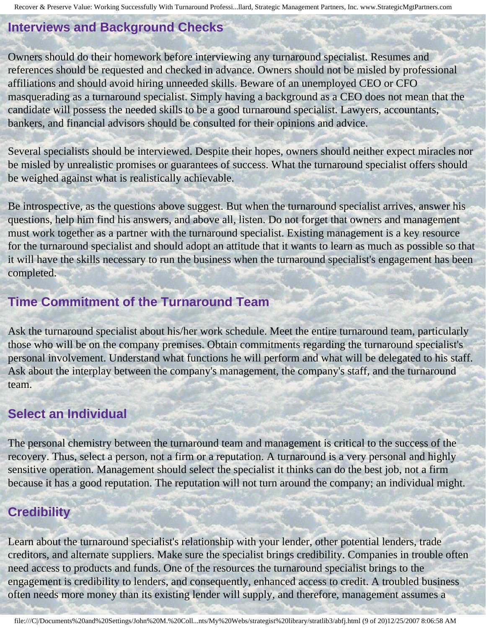### **Interviews and Background Checks**

Owners should do their homework before interviewing any turnaround specialist. Resumes and references should be requested and checked in advance. Owners should not be misled by professional affiliations and should avoid hiring unneeded skills. Beware of an unemployed CEO or CFO masquerading as a turnaround specialist. Simply having a background as a CEO does not mean that the candidate will possess the needed skills to be a good turnaround specialist. Lawyers, accountants, bankers, and financial advisors should be consulted for their opinions and advice.

Several specialists should be interviewed. Despite their hopes, owners should neither expect miracles nor be misled by unrealistic promises or guarantees of success. What the turnaround specialist offers should be weighed against what is realistically achievable.

Be introspective, as the questions above suggest. But when the turnaround specialist arrives, answer his questions, help him find his answers, and above all, listen. Do not forget that owners and management must work together as a partner with the turnaround specialist. Existing management is a key resource for the turnaround specialist and should adopt an attitude that it wants to learn as much as possible so that it will have the skills necessary to run the business when the turnaround specialist's engagement has been completed.

#### **Time Commitment of the Turnaround Team**

Ask the turnaround specialist about his/her work schedule. Meet the entire turnaround team, particularly those who will be on the company premises. Obtain commitments regarding the turnaround specialist's personal involvement. Understand what functions he will perform and what will be delegated to his staff. Ask about the interplay between the company's management, the company's staff, and the turnaround team.

#### **Select an Individual**

The personal chemistry between the turnaround team and management is critical to the success of the recovery. Thus, select a person, not a firm or a reputation. A turnaround is a very personal and highly sensitive operation. Management should select the specialist it thinks can do the best job, not a firm because it has a good reputation. The reputation will not turn around the company; an individual might.

### **Credibility**

Learn about the turnaround specialist's relationship with your lender, other potential lenders, trade creditors, and alternate suppliers. Make sure the specialist brings credibility. Companies in trouble often need access to products and funds. One of the resources the turnaround specialist brings to the engagement is credibility to lenders, and consequently, enhanced access to credit. A troubled business often needs more money than its existing lender will supply, and therefore, management assumes a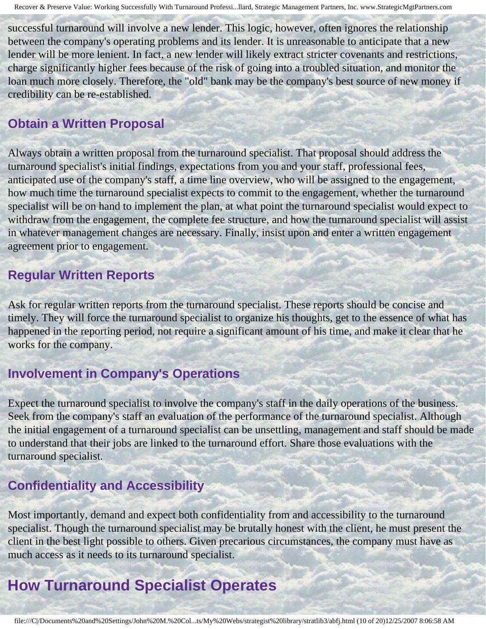successful turnaround will involve a new lender. This logic, however, often ignores the relationship between the company's operating problems and its lender. It is unreasonable to anticipate that a new lender will be more lenient. In fact, a new lender will likely extract stricter covenants and restrictions, charge significantly higher fees because of the risk of going into a troubled situation, and monitor the loan much more closely. Therefore, the "old" bank may be the company's best source of new money if credibility can be re-established.

#### **Obtain a Written Proposal**

Always obtain a written proposal from the turnaround specialist. That proposal should address the turnaround specialist's initial findings, expectations from you and your staff, professional fees, anticipated use of the company's staff, a time line overview, who will be assigned to the engagement, how much time the turnaround specialist expects to commit to the engagement, whether the turnaround specialist will be on hand to implement the plan, at what point the turnaround specialist would expect to withdraw from the engagement, the complete fee structure, and how the turnaround specialist will assist in whatever management changes are necessary. Finally, insist upon and enter a written engagement agreement prior to engagement.

#### **Regular Written Reports**

Ask for regular written reports from the turnaround specialist. These reports should be concise and timely. They will force the turnaround specialist to organize his thoughts, get to the essence of what has happened in the reporting period, not require a significant amount of his time, and make it clear that he works for the company.

#### **Involvement in Company's Operations**

Expect the turnaround specialist to involve the company's staff in the daily operations of the business. Seek from the company's staff an evaluation of the performance of the turnaround specialist. Although the initial engagement of a turnaround specialist can be unsettling, management and staff should be made to understand that their jobs are linked to the turnaround effort. Share those evaluations with the turnaround specialist.

### **Confidentiality and Accessibility**

Most importantly, demand and expect both confidentiality from and accessibility to the turnaround specialist. Though the turnaround specialist may be brutally honest with the client, he must present the client in the best light possible to others. Given precarious circumstances, the company must have as much access as it needs to its turnaround specialist.

### **How Turnaround Specialist Operates**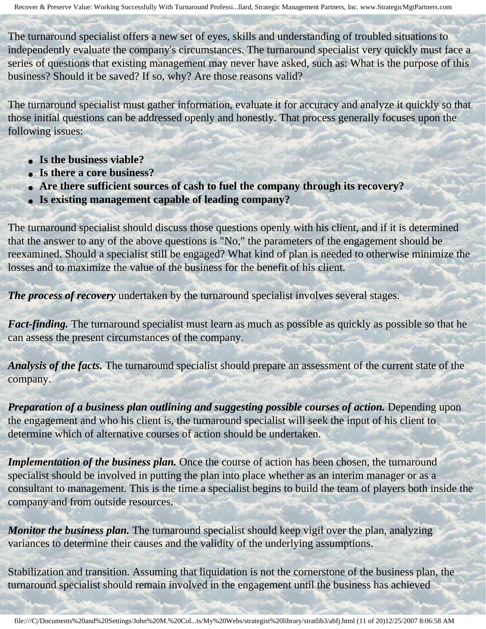The turnaround specialist offers a new set of eyes, skills and understanding of troubled situations to independently evaluate the company's circumstances. The turnaround specialist very quickly must face a series of questions that existing management may never have asked, such as: What is the purpose of this business? Should it be saved? If so, why? Are those reasons valid?

The turnaround specialist must gather information, evaluate it for accuracy and analyze it quickly so that those initial questions can be addressed openly and honestly. That process generally focuses upon the following issues:

- **Is the business viable?**
- **Is there a core business?**
- **Are there sufficient sources of cash to fuel the company through its recovery?**
- **Is existing management capable of leading company?**

The turnaround specialist should discuss those questions openly with his client, and if it is determined that the answer to any of the above questions is "No," the parameters of the engagement should be reexamined. Should a specialist still be engaged? What kind of plan is needed to otherwise minimize the losses and to maximize the value of the business for the benefit of his client.

*The process of recovery* undertaken by the turnaround specialist involves several stages.

*Fact-finding.* The turnaround specialist must learn as much as possible as quickly as possible so that he can assess the present circumstances of the company.

*Analysis of the facts.* The turnaround specialist should prepare an assessment of the current state of the company.

*Preparation of a business plan outlining and suggesting possible courses of action.* Depending upon the engagement and who his client is, the turnaround specialist will seek the input of his client to determine which of alternative courses of action should be undertaken.

*Implementation of the business plan.* Once the course of action has been chosen, the turnaround specialist should be involved in putting the plan into place whether as an interim manager or as a consultant to management. This is the time a specialist begins to build the team of players both inside the company and from outside resources.

*Monitor the business plan.* The turnaround specialist should keep vigil over the plan, analyzing variances to determine their causes and the validity of the underlying assumptions.

Stabilization and transition. Assuming that liquidation is not the cornerstone of the business plan, the turnaround specialist should remain involved in the engagement until the business has achieved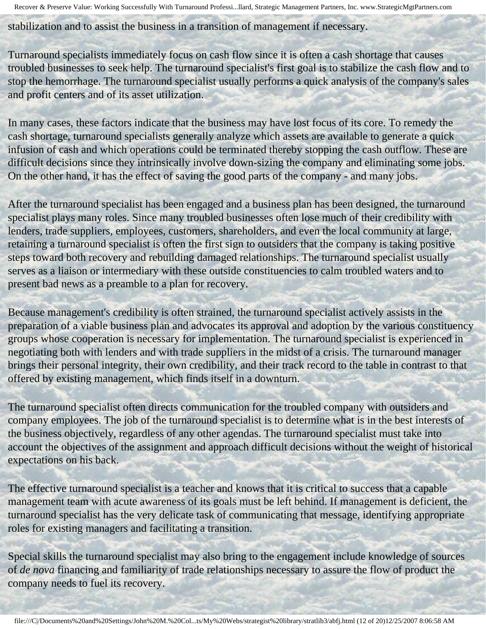stabilization and to assist the business in a transition of management if necessary.

Turnaround specialists immediately focus on cash flow since it is often a cash shortage that causes troubled businesses to seek help. The turnaround specialist's first goal is to stabilize the cash flow and to stop the hemorrhage. The turnaround specialist usually performs a quick analysis of the company's sales and profit centers and of its asset utilization.

In many cases, these factors indicate that the business may have lost focus of its core. To remedy the cash shortage, turnaround specialists generally analyze which assets are available to generate a quick infusion of cash and which operations could be terminated thereby stopping the cash outflow. These are difficult decisions since they intrinsically involve down-sizing the company and eliminating some jobs. On the other hand, it has the effect of saving the good parts of the company - and many jobs.

After the turnaround specialist has been engaged and a business plan has been designed, the turnaround specialist plays many roles. Since many troubled businesses often lose much of their credibility with lenders, trade suppliers, employees, customers, shareholders, and even the local community at large, retaining a turnaround specialist is often the first sign to outsiders that the company is taking positive steps toward both recovery and rebuilding damaged relationships. The turnaround specialist usually serves as a liaison or intermediary with these outside constituencies to calm troubled waters and to present bad news as a preamble to a plan for recovery.

Because management's credibility is often strained, the turnaround specialist actively assists in the preparation of a viable business plan and advocates its approval and adoption by the various constituency groups whose cooperation is necessary for implementation. The turnaround specialist is experienced in negotiating both with lenders and with trade suppliers in the midst of a crisis. The turnaround manager brings their personal integrity, their own credibility, and their track record to the table in contrast to that offered by existing management, which finds itself in a downturn.

The turnaround specialist often directs communication for the troubled company with outsiders and company employees. The job of the turnaround specialist is to determine what is in the best interests of the business objectively, regardless of any other agendas. The turnaround specialist must take into account the objectives of the assignment and approach difficult decisions without the weight of historical expectations on his back.

The effective turnaround specialist is a teacher and knows that it is critical to success that a capable management team with acute awareness of its goals must be left behind. If management is deficient, the turnaround specialist has the very delicate task of communicating that message, identifying appropriate roles for existing managers and facilitating a transition.

Special skills the turnaround specialist may also bring to the engagement include knowledge of sources of *de nova* financing and familiarity of trade relationships necessary to assure the flow of product the company needs to fuel its recovery.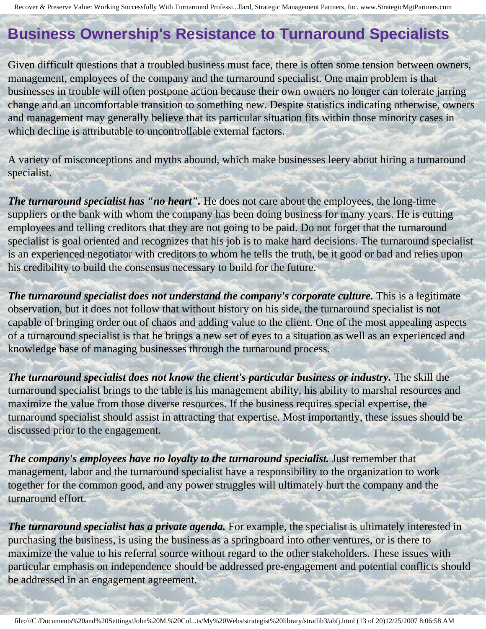## **Business Ownership's Resistance to Turnaround Specialists**

Given difficult questions that a troubled business must face, there is often some tension between owners, management, employees of the company and the turnaround specialist. One main problem is that businesses in trouble will often postpone action because their own owners no longer can tolerate jarring change and an uncomfortable transition to something new. Despite statistics indicating otherwise, owners and management may generally believe that its particular situation fits within those minority cases in which decline is attributable to uncontrollable external factors.

A variety of misconceptions and myths abound, which make businesses leery about hiring a turnaround specialist.

*The turnaround specialist has "no heart".* He does not care about the employees, the long-time suppliers or the bank with whom the company has been doing business for many years. He is cutting employees and telling creditors that they are not going to be paid. Do not forget that the turnaround specialist is goal oriented and recognizes that his job is to make hard decisions. The turnaround specialist is an experienced negotiator with creditors to whom he tells the truth, be it good or bad and relies upon his credibility to build the consensus necessary to build for the future.

The turnaround specialist does not understand the company's corporate culture. This is a legitimate observation, but it does not follow that without history on his side, the turnaround specialist is not capable of bringing order out of chaos and adding value to the client. One of the most appealing aspects of a turnaround specialist is that he brings a new set of eyes to a situation as well as an experienced and knowledge base of managing businesses through the turnaround process.

*The turnaround specialist does not know the client's particular business or industry.* **The skill the** turnaround specialist brings to the table is his management ability, his ability to marshal resources and maximize the value from those diverse resources. If the business requires special expertise, the turnaround specialist should assist in attracting that expertise. Most importantly, these issues should be discussed prior to the engagement.

*The company's employees have no loyalty to the turnaround specialist.* Just remember that management, labor and the turnaround specialist have a responsibility to the organization to work together for the common good, and any power struggles will ultimately hurt the company and the turnaround effort.

*The turnaround specialist has a private agenda.* For example, the specialist is ultimately interested in purchasing the business, is using the business as a springboard into other ventures, or is there to maximize the value to his referral source without regard to the other stakeholders. These issues with particular emphasis on independence should be addressed pre-engagement and potential conflicts should be addressed in an engagement agreement.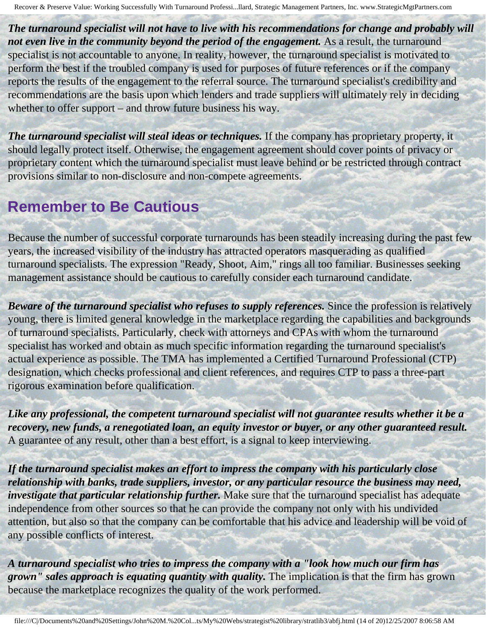*The turnaround specialist will not have to live with his recommendations for change and probably will*  not even live in the community beyond the period of the engagement. As a result, the turnaround specialist is not accountable to anyone. In reality, however, the turnaround specialist is motivated to perform the best if the troubled company is used for purposes of future references or if the company reports the results of the engagement to the referral source. The turnaround specialist's credibility and recommendations are the basis upon which lenders and trade suppliers will ultimately rely in deciding whether to offer support – and throw future business his way.

*The turnaround specialist will steal ideas or techniques.* If the company has proprietary property, it should legally protect itself. Otherwise, the engagement agreement should cover points of privacy or proprietary content which the turnaround specialist must leave behind or be restricted through contract provisions similar to non-disclosure and non-compete agreements.

### **Remember to Be Cautious**

Because the number of successful corporate turnarounds has been steadily increasing during the past few years, the increased visibility of the industry has attracted operators masquerading as qualified turnaround specialists. The expression "Ready, Shoot, Aim," rings all too familiar. Businesses seeking management assistance should be cautious to carefully consider each turnaround candidate.

*Beware of the turnaround specialist who refuses to supply references. Since the profession is relatively* young, there is limited general knowledge in the marketplace regarding the capabilities and backgrounds of turnaround specialists. Particularly, check with attorneys and CPAs with whom the turnaround specialist has worked and obtain as much specific information regarding the turnaround specialist's actual experience as possible. The TMA has implemented a Certified Turnaround Professional (CTP) designation, which checks professional and client references, and requires CTP to pass a three-part rigorous examination before qualification.

*Like any professional, the competent turnaround specialist will not guarantee results whether it be a recovery, new funds, a renegotiated loan, an equity investor or buyer, or any other guaranteed result.*  A guarantee of any result, other than a best effort, is a signal to keep interviewing.

*If the turnaround specialist makes an effort to impress the company with his particularly close relationship with banks, trade suppliers, investor, or any particular resource the business may need, investigate that particular relationship further.* Make sure that the turnaround specialist has adequate independence from other sources so that he can provide the company not only with his undivided attention, but also so that the company can be comfortable that his advice and leadership will be void of any possible conflicts of interest.

*A turnaround specialist who tries to impress the company with a "look how much our firm has grown" sales approach is equating quantity with quality.* The implication is that the firm has grown because the marketplace recognizes the quality of the work performed.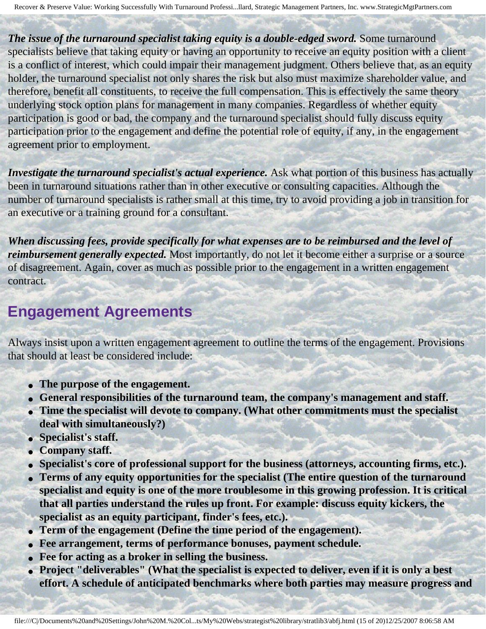*The issue of the turnaround specialist taking equity is a double-edged sword.* **Some turnaround** specialists believe that taking equity or having an opportunity to receive an equity position with a client is a conflict of interest, which could impair their management judgment. Others believe that, as an equity holder, the turnaround specialist not only shares the risk but also must maximize shareholder value, and therefore, benefit all constituents, to receive the full compensation. This is effectively the same theory underlying stock option plans for management in many companies. Regardless of whether equity participation is good or bad, the company and the turnaround specialist should fully discuss equity participation prior to the engagement and define the potential role of equity, if any, in the engagement agreement prior to employment.

*Investigate the turnaround specialist's actual experience.* Ask what portion of this business has actually been in turnaround situations rather than in other executive or consulting capacities. Although the number of turnaround specialists is rather small at this time, try to avoid providing a job in transition for an executive or a training ground for a consultant.

*When discussing fees, provide specifically for what expenses are to be reimbursed and the level of reimbursement generally expected.* Most importantly, do not let it become either a surprise or a source of disagreement. Again, cover as much as possible prior to the engagement in a written engagement contract.

### **Engagement Agreements**

Always insist upon a written engagement agreement to outline the terms of the engagement. Provisions that should at least be considered include:

- **The purpose of the engagement.**
- General responsibilities of the turnaround team, the company's management and staff.
- **Time the specialist will devote to company. (What other commitments must the specialist deal with simultaneously?)**
- **Specialist's staff.**
- **Company staff.**
- **Specialist's core of professional support for the business (attorneys, accounting firms, etc.).**
- **Terms of any equity opportunities for the specialist (The entire question of the turnaround specialist and equity is one of the more troublesome in this growing profession. It is critical that all parties understand the rules up front. For example: discuss equity kickers, the specialist as an equity participant, finder's fees, etc.).**
- **Term of the engagement (Define the time period of the engagement).**
- **Fee arrangement, terms of performance bonuses, payment schedule.**
- **Fee for acting as a broker in selling the business.**
- **Project "deliverables" (What the specialist is expected to deliver, even if it is only a best effort. A schedule of anticipated benchmarks where both parties may measure progress and**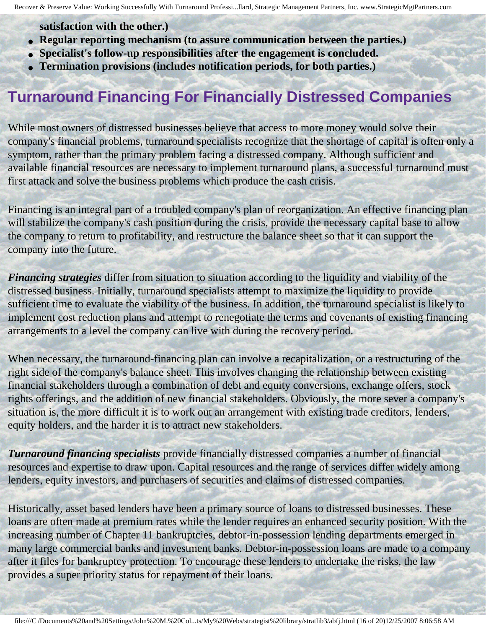**satisfaction with the other.)** 

- **Regular reporting mechanism (to assure communication between the parties.)**
- **Specialist's follow-up responsibilities after the engagement is concluded.**
- **Termination provisions (includes notification periods, for both parties.)**

## **Turnaround Financing For Financially Distressed Companies**

While most owners of distressed businesses believe that access to more money would solve their company's financial problems, turnaround specialists recognize that the shortage of capital is often only a symptom, rather than the primary problem facing a distressed company. Although sufficient and available financial resources are necessary to implement turnaround plans, a successful turnaround must first attack and solve the business problems which produce the cash crisis.

Financing is an integral part of a troubled company's plan of reorganization. An effective financing plan will stabilize the company's cash position during the crisis, provide the necessary capital base to allow the company to return to profitability, and restructure the balance sheet so that it can support the company into the future.

*Financing strategies* differ from situation to situation according to the liquidity and viability of the distressed business. Initially, turnaround specialists attempt to maximize the liquidity to provide sufficient time to evaluate the viability of the business. In addition, the turnaround specialist is likely to implement cost reduction plans and attempt to renegotiate the terms and covenants of existing financing arrangements to a level the company can live with during the recovery period.

When necessary, the turnaround-financing plan can involve a recapitalization, or a restructuring of the right side of the company's balance sheet. This involves changing the relationship between existing financial stakeholders through a combination of debt and equity conversions, exchange offers, stock rights offerings, and the addition of new financial stakeholders. Obviously, the more sever a company's situation is, the more difficult it is to work out an arrangement with existing trade creditors, lenders, equity holders, and the harder it is to attract new stakeholders.

*Turnaround financing specialists* provide financially distressed companies a number of financial resources and expertise to draw upon. Capital resources and the range of services differ widely among lenders, equity investors, and purchasers of securities and claims of distressed companies.

Historically, asset based lenders have been a primary source of loans to distressed businesses. These loans are often made at premium rates while the lender requires an enhanced security position. With the increasing number of Chapter 11 bankruptcies, debtor-in-possession lending departments emerged in many large commercial banks and investment banks. Debtor-in-possession loans are made to a company after it files for bankruptcy protection. To encourage these lenders to undertake the risks, the law provides a super priority status for repayment of their loans.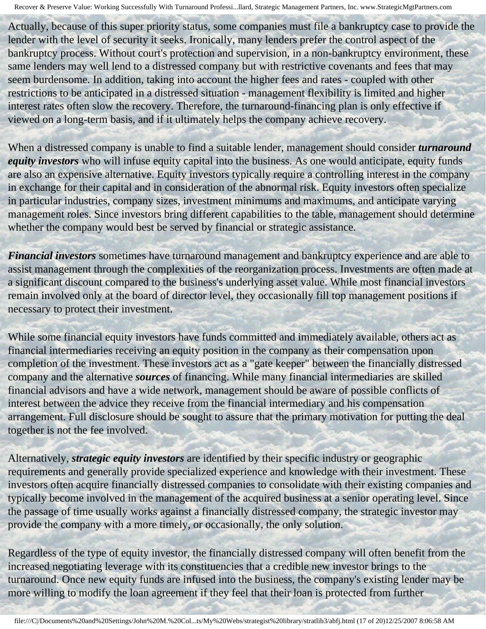Actually, because of this super priority status, some companies must file a bankruptcy case to provide the lender with the level of security it seeks. Ironically, many lenders prefer the control aspect of the bankruptcy process. Without court's protection and supervision, in a non-bankruptcy environment, these same lenders may well lend to a distressed company but with restrictive covenants and fees that may seem burdensome. In addition, taking into account the higher fees and rates - coupled with other restrictions to be anticipated in a distressed situation - management flexibility is limited and higher interest rates often slow the recovery. Therefore, the turnaround-financing plan is only effective if viewed on a long-term basis, and if it ultimately helps the company achieve recovery.

When a distressed company is unable to find a suitable lender, management should consider *turnaround equity investors* who will infuse equity capital into the business. As one would anticipate, equity funds are also an expensive alternative. Equity investors typically require a controlling interest in the company in exchange for their capital and in consideration of the abnormal risk. Equity investors often specialize in particular industries, company sizes, investment minimums and maximums, and anticipate varying management roles. Since investors bring different capabilities to the table, management should determine whether the company would best be served by financial or strategic assistance.

*Financial investors* sometimes have turnaround management and bankruptcy experience and are able to assist management through the complexities of the reorganization process. Investments are often made at a significant discount compared to the business's underlying asset value. While most financial investors remain involved only at the board of director level, they occasionally fill top management positions if necessary to protect their investment.

While some financial equity investors have funds committed and immediately available, others act as financial intermediaries receiving an equity position in the company as their compensation upon completion of the investment. These investors act as a "gate keeper" between the financially distressed company and the alternative *sources* of financing. While many financial intermediaries are skilled financial advisors and have a wide network, management should be aware of possible conflicts of interest between the advice they receive from the financial intermediary and his compensation arrangement. Full disclosure should be sought to assure that the primary motivation for putting the deal together is not the fee involved.

Alternatively, *strategic equity investors* are identified by their specific industry or geographic requirements and generally provide specialized experience and knowledge with their investment. These investors often acquire financially distressed companies to consolidate with their existing companies and typically become involved in the management of the acquired business at a senior operating level. Since the passage of time usually works against a financially distressed company, the strategic investor may provide the company with a more timely, or occasionally, the only solution.

Regardless of the type of equity investor, the financially distressed company will often benefit from the increased negotiating leverage with its constituencies that a credible new investor brings to the turnaround. Once new equity funds are infused into the business, the company's existing lender may be more willing to modify the loan agreement if they feel that their loan is protected from further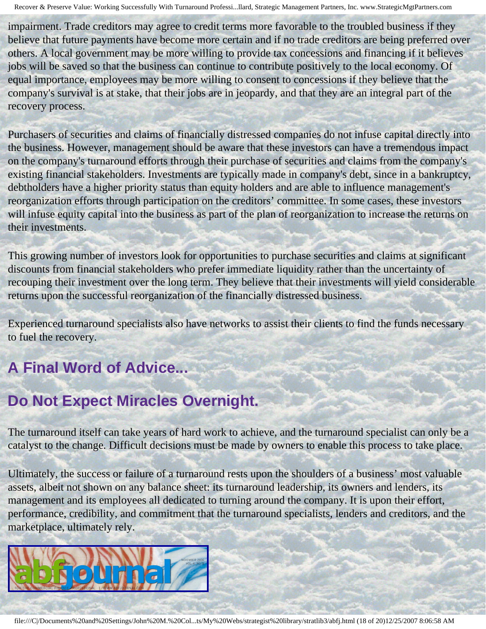impairment. Trade creditors may agree to credit terms more favorable to the troubled business if they believe that future payments have become more certain and if no trade creditors are being preferred over others. A local government may be more willing to provide tax concessions and financing if it believes jobs will be saved so that the business can continue to contribute positively to the local economy. Of equal importance, employees may be more willing to consent to concessions if they believe that the company's survival is at stake, that their jobs are in jeopardy, and that they are an integral part of the recovery process.

Purchasers of securities and claims of financially distressed companies do not infuse capital directly into the business. However, management should be aware that these investors can have a tremendous impact on the company's turnaround efforts through their purchase of securities and claims from the company's existing financial stakeholders. Investments are typically made in company's debt, since in a bankruptcy, debtholders have a higher priority status than equity holders and are able to influence management's reorganization efforts through participation on the creditors' committee. In some cases, these investors will infuse equity capital into the business as part of the plan of reorganization to increase the returns on their investments.

This growing number of investors look for opportunities to purchase securities and claims at significant discounts from financial stakeholders who prefer immediate liquidity rather than the uncertainty of recouping their investment over the long term. They believe that their investments will yield considerable returns upon the successful reorganization of the financially distressed business.

Experienced turnaround specialists also have networks to assist their clients to find the funds necessary to fuel the recovery.

# **A Final Word of Advice...**

## **Do Not Expect Miracles Overnight.**

The turnaround itself can take years of hard work to achieve, and the turnaround specialist can only be a catalyst to the change. Difficult decisions must be made by owners to enable this process to take place.

Ultimately, the success or failure of a turnaround rests upon the shoulders of a business' most valuable assets, albeit not shown on any balance sheet: its turnaround leadership, its owners and lenders, its management and its employees all dedicated to turning around the company. It is upon their effort, performance, credibility, and commitment that the turnaround specialists, lenders and creditors, and the marketplace, ultimately rely.



file:///C|/Documents%20and%20Settings/John%20M.%20Col...ts/My%20Webs/strategist%20library/stratlib3/abfj.html (18 of 20)12/25/2007 8:06:58 AM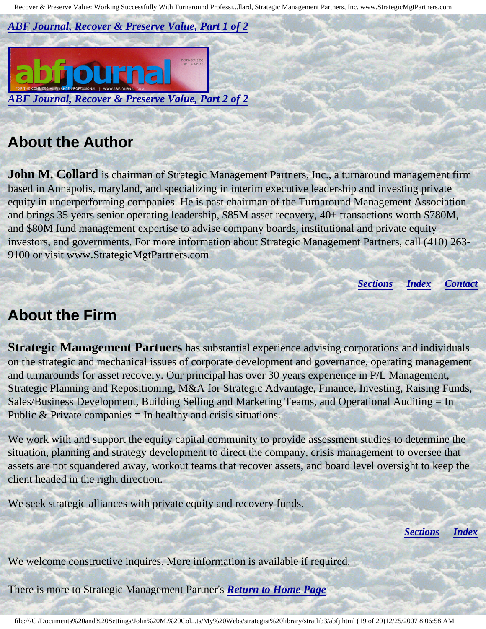*[ABF Journal, Recover & Preserve Value, Part 1 of 2](http://members.aol.com/stratlib3/abfj1.html)*



### <span id="page-18-0"></span>**About the Author**

**John M. Collard** is chairman of Strategic Management Partners, Inc., a turnaround management firm based in Annapolis, maryland, and specializing in interim executive leadership and investing private equity in underperforming companies. He is past chairman of the Turnaround Management Association and brings 35 years senior operating leadership, \$85M asset recovery, 40+ transactions worth \$780M, and \$80M fund management expertise to advise company boards, institutional and private equity investors, and governments. For more information about Strategic Management Partners, call (410) 263- 9100 or visit www.StrategicMgtPartners.com

*[Sections](#page-0-1) [Index](#page-0-2) [Contact](#page-19-0)*

### <span id="page-18-1"></span>**About the Firm**

**Strategic Management Partners** has substantial experience advising corporations and individuals on the strategic and mechanical issues of corporate development and governance, operating management and turnarounds for asset recovery. Our principal has over 30 years experience in P/L Management, Strategic Planning and Repositioning, M&A for Strategic Advantage, Finance, Investing, Raising Funds, Sales/Business Development, Building Selling and Marketing Teams, and Operational Auditing = In Public  $&$  Private companies  $=$  In healthy and crisis situations.

We work with and support the equity capital community to provide assessment studies to determine the situation, planning and strategy development to direct the company, crisis management to oversee that assets are not squandered away, workout teams that recover assets, and board level oversight to keep the client headed in the right direction.

We seek strategic alliances with private equity and recovery funds.

*[Sections](#page-0-1) [Index](#page-0-2)*

We welcome constructive inquires. More information is available if required.

There is more to Strategic Management Partner's *[Return to Home Page](http://members.aol.com/strategist/home.html#TOP)*